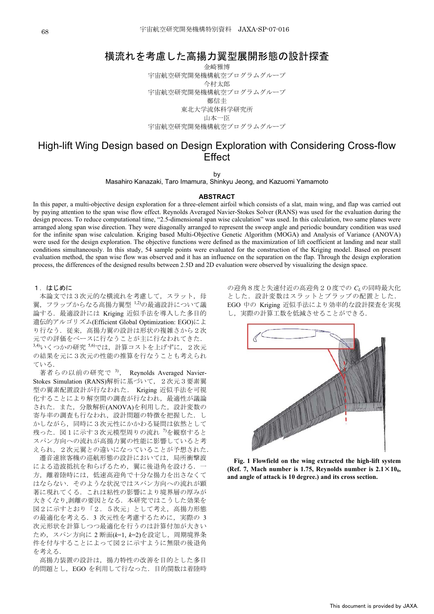# 橫流れを考慮した高揚力翼型展開形態の設計探査 ―

金崎雅博 宇宙航空研究開発機構航空プログラムグループ 今村太郎 宇宙航空研究開発機構航空プログラムグループ 邮信丰 東北大学流体科学研究所 山本一臣 宇宙航空研究開発機構航空プログラムグループ

# High-lift Wing Design based on Design Exploration with Considering Cross-flow **Effect**

by

Masahiro Kanazaki, Taro Imamura, Shinkyu Jeong, and Kazuomi Yamamoto

#### **ABSTRACT**

In this paper, a multi-objective design exploration for a three-element airfoil which consists of a slat, main wing, and flap was carried out by paying attention to the span wise flow effect. Reynolds Averaged Navier-Stokes Solver (RANS) was used for the evaluation during the design process. To reduce computational time, "2.5-dimensional span wise calculation" was used. In this calculation, two same planes were arranged along span wise direction. They were diagonally arranged to represent the sweep angle and periodic boundary condition was used for the infinite span wise calculation. Kriging based Multi-Objective Genetic Algorithm (MOGA) and Analysis of Variance (ANOVA) were used for the design exploration. The objective functions were defined as the maximization of lift coefficient at landing and near stall conditions simultaneously. In this study, 54 sample points were evaluated for the construction of the Kriging model. Based on present evaluation method, the span wise flow was observed and it has an influence on the separation on the flap. Through the design exploration process, the differences of the designed results between 2.5D and 2D evaluation were observed by visualizing the design space.

## 1. はじめに

本論文では3次元的な横流れを考慮して、スラット、母 翼,フラップからなる高揚力翼型<sup>1,2)</sup>の最適設計について議 論する. 最適設計には Kriging 近似手法を導入した多目的 遺伝的アルゴリズム(Efficient Global Optimization: EGO)によ り行なう. 従来、高揚力翼の設計は形状の複雑さから2次 元での評価をベースに行なうことが主に行なわれてきた. 3,4)いくつかの研究 <sup>5,6)</sup>では、計算コストを上げずに、2次元 の結果を元に3次元の性能の推算を行なうことも考えられ ている.

著者らの以前の研究で 3), Reynolds Averaged Navier-Stokes Simulation (RANS)解析に基づいて、2次元3要素翼 型の翼素配置設計が行なわれた. Kriging 近似手法を可視 化することにより解空間の調査が行なわれ、最適性が議論 された. また、分散解析(ANOVA)を利用した、設計変数の 寄与率の調査も行なわれ、設計問題の特徴を把握した.し かしながら、同時に3次元性にかかわる疑問は依然として 残った. 図1に示す3次元模型周りの流れ<sup>7</sup>を観察すると スパン方向への流れが高揚力翼の性能に影響していると考 えられ、2次元翼との違いになっていることが予想された. 遷音速旅客機の巡航形態の設計においては、局所衝撃波 による造波抵抗を和らげるため、 翼に後退角を設ける. 方、離着陸時には、低速高迎角で十分な揚力を出さなくて はならない、そのような状況ではスパン方向への流れが顕 著に現れてくる。これは粘性の影響により境界層の厚みが 大きくなり,剥離の要因となる. 本研究ではこうした効果を 図2に示すとおり「2.5次元」として考え、高揚力形態 の最適化を考える. 3 次元性を考慮するために、実際の 3 次元形状を計算しつつ最適化を行うのは計算付加が大きい ため、スパン方向に 2 断面(k=1, k=2)を設定し、周期境界条 件を付与することによって図2に示すように無限の後退角 を考える.

高揚力装置の設計は、揚力特性の改善を目的とした多目 的問題とし、EGO を利用して行なった. 目的関数は着陸時 の迎角8度と失速付近の高迎角20度での CLの同時最大化 とした. 設計変数はスラットとプラップの配置とした. EGO 中の Kriging 近似手法により効率的な設計探査を実現 し、実際の計算工数を低減させることができる.



**Fig. 1 Flowfield on the wing extracted the high-lift system (Ref. 7, Mach number is 1.75, Reynolds number is**  $2.1 \times 10_6$ **, and angle of attack is 10 degree.) and its cross section.**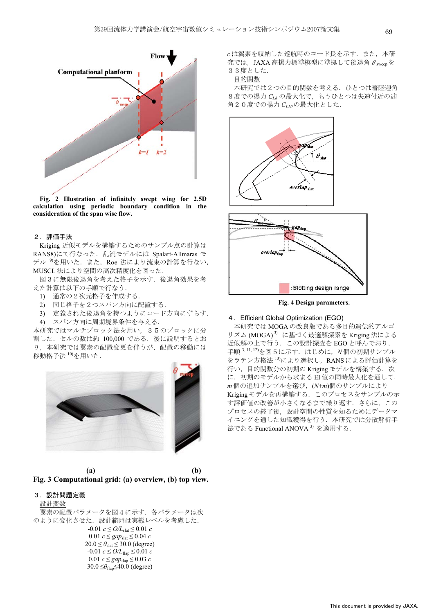

**Fig. 2 Illustration of infinitely swept wing for 2.5D calculation using periodic boundary condition in the consideration of the span wise flow.** 

## 2. 評価手法

Kriging 近似モデルを構築するためのサンプル点の計算は RANS8)にて行なった. 乱流モデルには Spalart-Allmaras モ デル<sup>9</sup>を用いた. また、Roe 法により流束の計算を行ない, MUSCL 法により空間の高次精度化を図った.

図3に無限後退角を考えた格子を示す。後退角効果を考 えた計算は以下の手順で行なう.

- 1) 通常の2次元格子を作成する.
- 2) 同じ格子を2つスパン方向に配置する.
- 3) 定義された後退角を持つようにコード方向にずらす. 4) スパン方向に周期境界条件を与える.

本研究ではマルチブロック法を用い、35のブロックに分 割した. セルの数は約 100,000 である. 後に説明するとお り、本研究では翼素の配置変更を伴うが、配置の移動には 移動格子法<sup>10)</sup>を用いた.



 **(a)** - **(b) Fig. 3 Computational grid: (a) overview, (b) top view.** 

## 3. 設計問題定義

#### 設計変数

翼素の配置パラメータを図4に示す。各パラメータは次 のように変化させた. 設計範囲は実機レベルを考慮した.  $-0.01$  *c*  $\leq O/L_{\text{slat}} \leq 0.01$  *c*  $0.01$   $c \leq$  *gap*<sub>slat</sub>  $\leq 0.04$  *c*  $20.0 \leq \theta_{\text{slat}} \leq 30.0$  (degree)  $-0.01$   $c \leq O/L_{\text{flap}} \leq 0.01$   $c$  $0.01 \text{ } c \leq \text{gap}_{\text{flap}} \leq 0.03 \text{ } c$  $30.0 \leq \theta_{\text{flan}} \leq 40.0$  (degree)

 $c$ は翼素を収納した巡航時のコード長を示す。また、本研 究では、JAXA 高揚力標準模型に準拠して後退角 $\theta_{\text{sween}}$ を 33度とした.

# 目的関数

本研究では2つの目的関数を考える. ひとつは着陸迎角 8度での揚力 CL8 の最大化で、もうひとつは失速付近の迎 角20度での揚力 CL20の最大化とした.



**Fig. 4 Design parameters.** 

# 4. Efficient Global Optimization (EGO)

本研究では MOGA の改良版である多目的遺伝的アルゴ リズム (MOGA)<sup>3)</sup> に基づく最適解探索を Kriging 法による 近似解の上で行う. この設計探査を EGO と呼んでおり, 手順<sup>3,11,12</sup>を図5に示す. はじめに, N個の初期サンプル をラテン方格法<sup>13)</sup>により選択し、RANSによる評価計算を 行い、目的関数分の初期の Kriging モデルを構築する. 次 に、初期のモデルから求まるEI 値の同時最大化を通して,  $m$ 個の追加サンプルを選び, (N+m)個のサンプルにより Kriging モデルを再構築する. このプロセスをサンプルの示 す評価値の改善が小さくなるまで繰り返す。さらに、この プロセスの終了後、設計空間の性質を知るためにデータマ イニングを通した知識獲得を行う. 本研究では分散解析手 法である Functional ANOVA<sup>3)</sup> を適用する.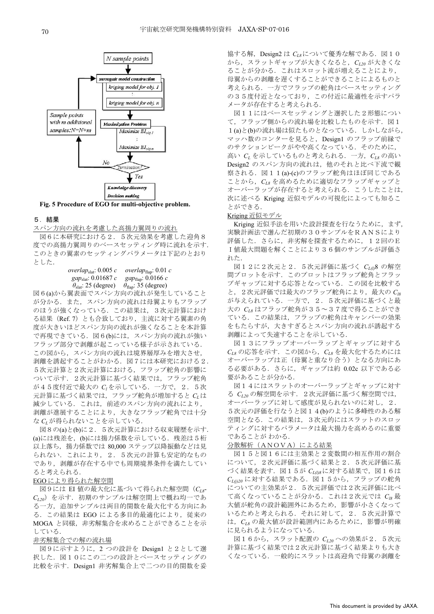

**Fig. 5 Procedure of EGO for multi-objective problem.** 

# 5. 結果

スパン方向の流れを考慮した高揚力翼周りの流れ

図6に本研究における2.5次元効果を考慮した迎角8 度での高揚力翼周りのベースセッティング時に流れを示す. このときの翼素のセッティングパラメータは下記のとおり 㧚ߚߒߣ

# *overlap*<sub>slat</sub>: 0.005 *c overlap*<sub>flap</sub>: 0.01 *c gap*<sub>slat</sub>: 0.0166 *c gap*<sub>flan</sub>: 0.0166*c*  $\theta_{\text{slat}}$ : 25 (degree)  $\theta_{\text{flap}}$ : 35 (degree)

図6(a)から翼表面でスパン方向の流れが発生していること が分かる. また、スパン方向の流れは母翼よりもフラップ のほうが強くなっている。この結果は、3次元計算におけ る結果 (Ref. 7) とも合致しており、主流に対する翼素の角 度が大きいほどスパン方向の流れが強くなることを本計算 で再現できている. 図6(b)には、スパン方向の流れが強い フラップ部分で剥離が起こっている様子が示されている. この図から、スパン方向の流れは境界層厚みを増大させ, 剥離を誘起することがわかる. 図7には本研究における2. 5次元計算における、フラップ舵角の影響に ついて示す. 2次元計算に基づく結果では、フラップ舵角 が45度付近で最大の C<sub>1</sub>を示している. 一方で, 2. 5次 元計算に基づく結果では、フラップ舵角が増加すると Crは 減少している。これは、前述のスパン方向の流れにより、 剥離が進展することにより、大きなフラップ舵角では十分 な CLが得られないことを示している.

図8の(a)と(b)に2. 5次元計算における収束履歴を示す. (a)には残差を、(b)には揚力係数を示している. 残差は5桁 以上落ち、揚力係数では 80,000 ステップ以降振動などは見 られない. これにより、2. 5次元の計算も安定的なもの であり、剥離が存在する中でも周期境界条件を満たしてい ると考えられる.

### EGOにより得られた解空間

図9には EI 値の最大化に基づいて得られた解空間 (C<sub>L8</sub>-CL20) を示す. 初期のサンプルは解空間上で概ね均一であ る一方、追加サンプルは両目的関数を最大化する方向にあ る. この結果は EGO による多目的最適化により、従来の MOGA と同様、非劣解集合を求めることができることを示 している.

# 非劣解集合での解の流れ場

図9に示すように, 2 つの設計を Design1 と2として選 択した. 図10にこの二つの設計とベースセッティングの 比較を示す. Design1 非劣解集合上で二つの目的関数を妥 協する解, Design2 は C<sub>L8</sub>について優秀な解である. 図10 から、スラットギャップが大きくなると、CL20 が大きくな ることが分かる。これはスロット流が増えることにより、 母翼からの剥離を遅くすることができることによるものと 考えられる。一方でフラップの舵角はベースセッティング の35度付近となっており、この付近に最適性を示すパラ メータが存在すると考えられる.

図11にはベースセッティングと選択した2形態につい て、フラップ側からの流れ場を比較したものを示す。図1 1(a)と(b)の流れ場は似たものとなっている. しかしながら, マッハ数のコンターを見ると, Design1 のフラップ前縁で のサクションピークがやや高くなっている。 そのために, 高い  $C_L$ を示しているものと考えられる. 一方,  $C_{L8}$ の高い Design2 のスパン方向の流れは、他のそれと比べ下流で観 察される. 図11(a)-(c)のフラップ舵角はほぼ同じである ことから、C<sub>L</sub> を高めるために適切なフラップギャップと オーバーラップが存在すると考えられる。こうしたことは、 次に述べる Kriging 近似モデルの可視化によっても知るこ とができる.

#### Kriging 近似モデル

Kriging 近似手法を用いた設計探査を行なうために、まず, 実験計画法で選んだ初期の30サンプルをRANSにより 評価した. さらに、非劣解を探査するために, 12回のE Ⅰ値最大問題を解くことにより36個のサンプルが評価さ れた.

図12に2次元と2.5次元評価に基づく CL(l)8 の解空 間プロットを示す。このプロットはフラップ舵角とフラッ プギャップに対する応答となっている。この図を比較する と、2次元評価では最大のフラップ舵角により、最大のCIR が与えられている. 一方で、2.5次元評価に基づくと最 大の C<sub>Is</sub> はフラップ舵角が35~37度で得ることができ ている。この結果は、フラップの舵角はキャンバーの効果 をもたらすが、大きすぎるとスパン方向の流れが誘起する 剥離によって失速することを示している.

図13にフラップオーバーラップとギャップに対する  $C_{L8}$ の応答を示す. この図から,  $C_{L8}$ を最大化するためには オーバーラップは正(母翼と重なり合う)となる方向にあ る必要がある. さらに、ギャップは約 0.02c 以下である必 要があることが分かる.

図14にはスラットのオーバーラップとギャップに対す る  $C_{L20}$ の解空間を示す. 2次元評価に基づく解空間では, オーバーラップに対して感度が見られないのに対し、2. 5次元の評価を行なうと図14(b)のように多峰性のある解 空間となる. この結果は、3次元的にはスラットのスロッ ティングに対するパラメータは最大揚力を高めるのに重要 であることが わかる.

## 分散解析 (ANOVA) による結果

図15と図16には主効果と2変数間の相互作用の割合 について、2次元評価に基づく結果と2.5次元評価に基 づく結果を表す. 図15が C<sub>L(1)8</sub>に対する結果で, 図16は  $C_{L(j)20}$ に対する結果である. 図15から、フラップの舵角 についての主効果が2.5次元評価では2次元評価に比べ て高くなっていることが分かる. これは2次元では Clg 最 大値が舵角の設計範囲外にあるため、影響が小さくなって いるためと考えられる. それに対して、2. 5次元計算で は、CL8 の最大値が設計範囲内にあるために、影響が明確 に見られるようになっている.

図16から, スラット配置の CL20 への効果が 2. 5次元 計算に基づく結果では2次元計算に基づく結果よりも大き くなっている。一般的にスラットは高迎角で母翼の剥離を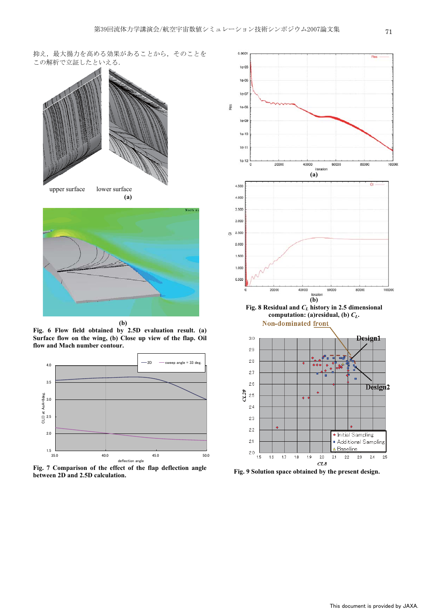抑え、最大揚力を高める効果があることから、そのことを この解析で立証したといえる.





**(b)**

**Fig. 6 Flow field obtained by 2.5D evaluation result. (a) Surface flow on the wing, (b) Close up view of the flap. Oil flow and Mach number contour.** 







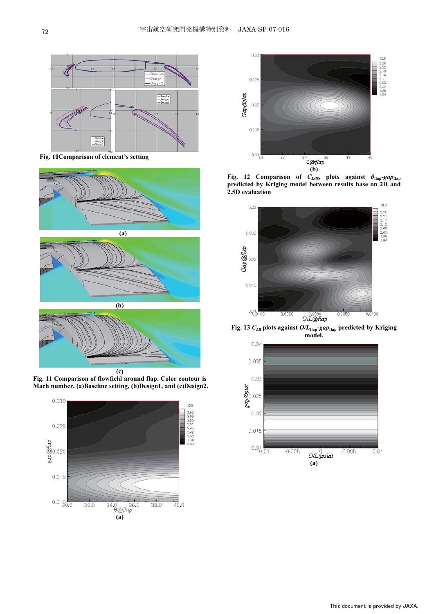

**Fig. 10Comparison of element's setting** 





**Fig. 11 Comparison of flowfield around flap. Color contour is Mach number. (a)Baseline setting, (b)Design1, and (c)Design2.** 





**Fig. 12 Comparison of**  $C_{L(\theta)}$  **plots against**  $\theta_{\text{flap}}$ **-***gap***<sub>flap</sub> predicted by Kriging model between results base on 2D and 2.5D evaluation** 



**Fig. 13** *CL***8 plots against** *O/L***flap-***gap***flap predicted by Kriging model.**

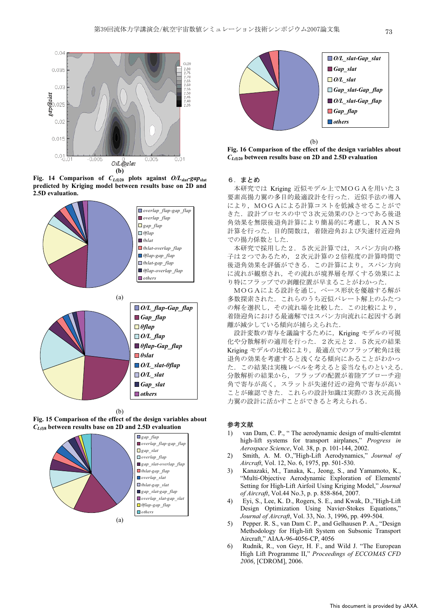

**Fig. 14 Comparison of** *CL(l)***20 plots against** *O/L***slat-***gap***slat predicted by Kriging model between results base on 2D and 2.5D evaluation.** 











**Fig. 16 Comparison of the effect of the design variables about**  *CL(l)***20 between results base on 2D and 2.5D evaluation** 

# 6. まとめ

本研究では Kriging 近似モデル上でMOGAを用いた3 要素高揚力翼の多目的最適設計を行った. 近似手法の導入 により、MOGAによる計算コストを低減させることがで きた. 設計プロセスの中で3次元効果のひとつである後退 角効果を無限後退角計算により簡易的に考慮し、RANS 計算を行った。目的関数は、着陸迎角および失速付近迎角 での揚力係数とした.

本研究で採用した2. 5次元計算では、スパン方向の格 子は2つであるため、2次元計算の2倍程度の計算時間で 後退角効果を評価ができる. この計算により、スパン方向 に流れが観察され、その流れが境界層を厚くする効果によ り特にフラップでの剥離位置が早まることがわかった.

MOGAによる設計を通じ、ベース形状を優越する解が 多数探索された。これらのうち近似パレート解上のふたつ の解を選択し、その流れ場を比較した. この比較により, 着陸迎角における最適解ではスパン方向流れに起因する剥 離が減少している傾向が捕らえられた.

設計変数の寄与を議論するために、Kriging モデルの可視 化や分散解析の適用を行った. 2次元と2. 5次元の結果 Kriging モデルの比較により、最適点でのフラップ舵角は後 退角の効果を考慮すると浅くなる傾向にあることがわかっ た. この結果は実機レベルを考えると妥当なものといえる. 分散解析の結果から、フラップの配置が着陸アプローチ迎 角で寄与が高く、スラットが失速付近の迎角で寄与が高い ことが確認できた. これらの設計知識は実際の3次元高揚 力翼の設計に活かすことができると考えられる.

# 参考文献

- 1) van Dam, C. P., " The aerodynamic design of multi-elemtnt high-lift systems for transport airplanes," *Progress in Aerospace Science*, Vol. 38, p. p. 101-144, 2002.
- 2) Smith, A. M. O.,"High-Lift Aerodynamics," *Journal of Aircraft*, Vol. 12, No. 6, 1975, pp. 501-530.
- 3) Kanazaki, M., Tanaka, K., Jeong, S., and Yamamoto, K., "Multi-Objective Aerodynamic Exploration of Elements' Setting for High-Lift Airfoil Using Kriging Model," *Journal of Aircraft*, Vol.44 No.3, p. p. 858-864, 2007.
- 4) Eyi, S., Lee, K. D., Rogers, S. E., and Kwak, D.,"High-Lift Design Optimization Using Navier-Stokes Equations," *Journal of Aircraft*, Vol. 33, No. 3, 1996, pp. 499-504.
- 5) Pepper. R. S., van Dam C. P., and Gelhausen P. A., "Design Methodology for High-lift System on Subsonic Transport Aircraft," AIAA-96-4056-CP, 4056
- 6) Rudnik, R., von Geyr, H. F., and Wild J. "The European High Lift Programme II," *Proceedings of ECCOMAS CFD 2006*, [CDROM], 2006.